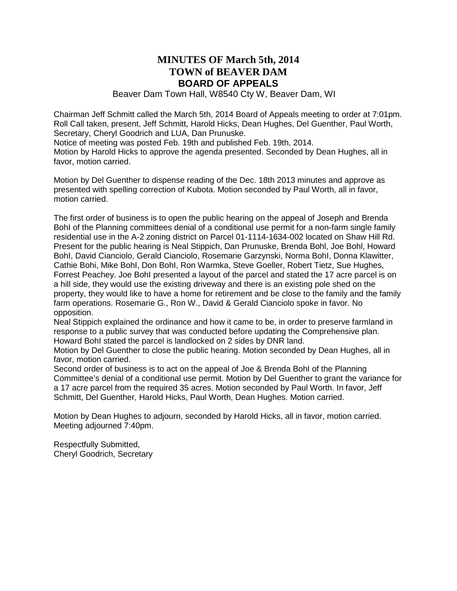### **MINUTES OF March 5th, 2014 TOWN of BEAVER DAM BOARD OF APPEALS**

Beaver Dam Town Hall, W8540 Cty W, Beaver Dam, WI

Chairman Jeff Schmitt called the March 5th, 2014 Board of Appeals meeting to order at 7:01pm. Roll Call taken, present, Jeff Schmitt, Harold Hicks, Dean Hughes, Del Guenther, Paul Worth, Secretary, Cheryl Goodrich and LUA, Dan Prunuske.

Notice of meeting was posted Feb. 19th and published Feb. 19th, 2014.

Motion by Harold Hicks to approve the agenda presented. Seconded by Dean Hughes, all in favor, motion carried.

Motion by Del Guenther to dispense reading of the Dec. 18th 2013 minutes and approve as presented with spelling correction of Kubota. Motion seconded by Paul Worth, all in favor, motion carried.

The first order of business is to open the public hearing on the appeal of Joseph and Brenda BohI of the Planning committees denial of a conditional use permit for a non-farm single family residential use in the A-2 zoning district on Parcel 01-1114-1634-002 located on Shaw Hill Rd. Present for the public hearing is Neal Stippich, Dan Prunuske, Brenda Bohl, Joe Bohl, Howard BohI, David Cianciolo, Gerald Cianciolo, Rosemarie Garzynski, Norma BohI, Donna Klawitter, Cathie Bohi, Mike BohI, Don BohI, Ron Warmka, Steve Goeller, Robert Tietz, Sue Hughes, Forrest Peachey. Joe BohI presented a layout of the parcel and stated the 17 acre parcel is on a hill side, they would use the existing driveway and there is an existing pole shed on the property, they would like to have a home for retirement and be close to the family and the family farm operations. Rosemarie G., Ron W., David & Gerald Cianciolo spoke in favor. No opposition.

Neal Stippich explained the ordinance and how it came to be, in order to preserve farmland in response to a public survey that was conducted before updating the Comprehensive plan. Howard BohI stated the parcel is landlocked on 2 sides by DNR land.

Motion by Del Guenther to close the public hearing. Motion seconded by Dean Hughes, all in favor, motion carried.

Second order of business is to act on the appeal of Joe & Brenda BohI of the Planning Committee's denial of a conditional use permit. Motion by Del Guenther to grant the variance for a 17 acre parcel from the required 35 acres. Motion seconded by Paul Worth. In favor, Jeff Schmitt, Del Guenther, Harold Hicks, Paul Worth, Dean Hughes. Motion carried.

Motion by Dean Hughes to adjourn, seconded by Harold Hicks, all in favor, motion carried. Meeting adjourned 7:40pm.

Respectfully Submitted, Cheryl Goodrich, Secretary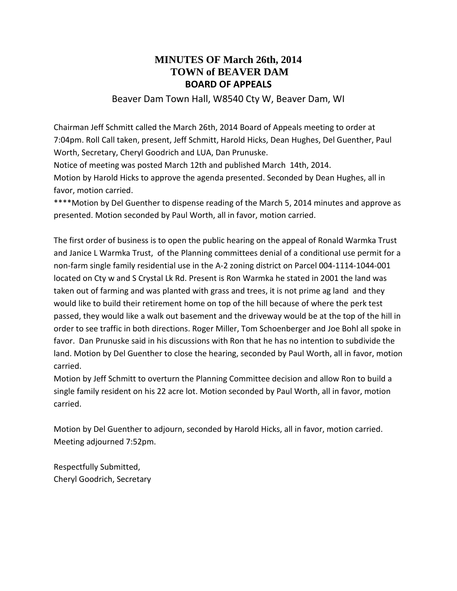## **MINUTES OF March 26th, 2014 TOWN of BEAVER DAM BOARD OF APPEALS**

#### Beaver Dam Town Hall, W8540 Cty W, Beaver Dam, WI

Chairman Jeff Schmitt called the March 26th, 2014 Board of Appeals meeting to order at 7:04pm. Roll Call taken, present, Jeff Schmitt, Harold Hicks, Dean Hughes, Del Guenther, Paul Worth, Secretary, Cheryl Goodrich and LUA, Dan Prunuske.

Notice of meeting was posted March 12th and published March 14th, 2014.

Motion by Harold Hicks to approve the agenda presented. Seconded by Dean Hughes, all in favor, motion carried.

\*\*\*\*Motion by Del Guenther to dispense reading of the March 5, 2014 minutes and approve as presented. Motion seconded by Paul Worth, all in favor, motion carried.

The first order of business is to open the public hearing on the appeal of Ronald Warmka Trust and Janice L Warmka Trust, of the Planning committees denial of a conditional use permit for a non-farm single family residential use in the A-2 zoning district on Parcel 004-1114-1044-001 located on Cty w and S Crystal Lk Rd. Present is Ron Warmka he stated in 2001 the land was taken out of farming and was planted with grass and trees, it is not prime ag land and they would like to build their retirement home on top of the hill because of where the perk test passed, they would like a walk out basement and the driveway would be at the top of the hill in order to see traffic in both directions. Roger Miller, Tom Schoenberger and Joe Bohl all spoke in favor. Dan Prunuske said in his discussions with Ron that he has no intention to subdivide the land. Motion by Del Guenther to close the hearing, seconded by Paul Worth, all in favor, motion carried.

Motion by Jeff Schmitt to overturn the Planning Committee decision and allow Ron to build a single family resident on his 22 acre lot. Motion seconded by Paul Worth, all in favor, motion carried.

Motion by Del Guenther to adjourn, seconded by Harold Hicks, all in favor, motion carried. Meeting adjourned 7:52pm.

Respectfully Submitted, Cheryl Goodrich, Secretary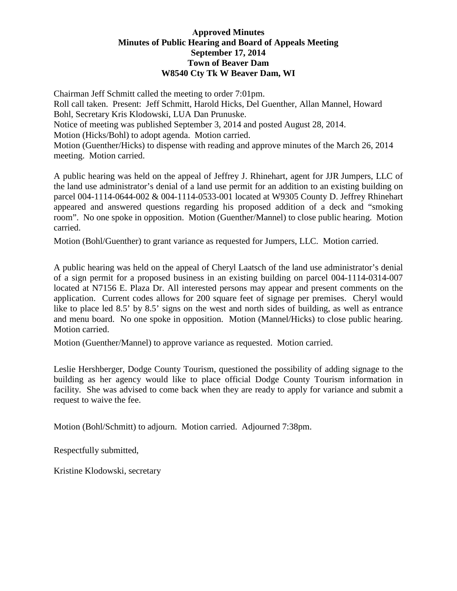#### **Approved Minutes Minutes of Public Hearing and Board of Appeals Meeting September 17, 2014 Town of Beaver Dam W8540 Cty Tk W Beaver Dam, WI**

Chairman Jeff Schmitt called the meeting to order 7:01pm. Roll call taken. Present: Jeff Schmitt, Harold Hicks, Del Guenther, Allan Mannel, Howard Bohl, Secretary Kris Klodowski, LUA Dan Prunuske. Notice of meeting was published September 3, 2014 and posted August 28, 2014. Motion (Hicks/Bohl) to adopt agenda. Motion carried. Motion (Guenther/Hicks) to dispense with reading and approve minutes of the March 26, 2014 meeting. Motion carried.

A public hearing was held on the appeal of Jeffrey J. Rhinehart, agent for JJR Jumpers, LLC of the land use administrator's denial of a land use permit for an addition to an existing building on parcel 004-1114-0644-002 & 004-1114-0533-001 located at W9305 County D. Jeffrey Rhinehart appeared and answered questions regarding his proposed addition of a deck and "smoking room". No one spoke in opposition. Motion (Guenther/Mannel) to close public hearing. Motion carried.

Motion (Bohl/Guenther) to grant variance as requested for Jumpers, LLC. Motion carried.

A public hearing was held on the appeal of Cheryl Laatsch of the land use administrator's denial of a sign permit for a proposed business in an existing building on parcel 004-1114-0314-007 located at N7156 E. Plaza Dr. All interested persons may appear and present comments on the application. Current codes allows for 200 square feet of signage per premises. Cheryl would like to place led 8.5' by 8.5' signs on the west and north sides of building, as well as entrance and menu board. No one spoke in opposition. Motion (Mannel/Hicks) to close public hearing. Motion carried.

Motion (Guenther/Mannel) to approve variance as requested. Motion carried.

Leslie Hershberger, Dodge County Tourism, questioned the possibility of adding signage to the building as her agency would like to place official Dodge County Tourism information in facility. She was advised to come back when they are ready to apply for variance and submit a request to waive the fee.

Motion (Bohl/Schmitt) to adjourn. Motion carried. Adjourned 7:38pm.

Respectfully submitted,

Kristine Klodowski, secretary